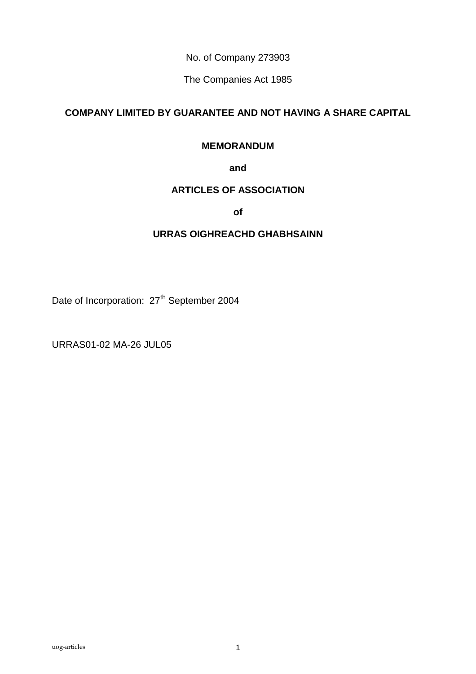No. of Company 273903

The Companies Act 1985

# **COMPANY LIMITED BY GUARANTEE AND NOT HAVING A SHARE CAPITAL**

## **MEMORANDUM**

## **and**

## **ARTICLES OF ASSOCIATION**

**of**

## **URRAS OIGHREACHD GHABHSAINN**

Date of Incorporation: 27<sup>th</sup> September 2004

URRAS01-02 MA-26 JUL05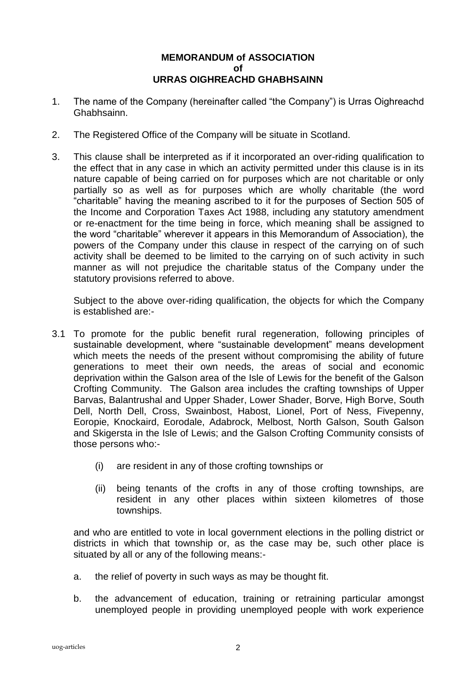## **MEMORANDUM of ASSOCIATION of URRAS OIGHREACHD GHABHSAINN**

- 1. The name of the Company (hereinafter called "the Company") is Urras Oighreachd Ghabhsainn.
- 2. The Registered Office of the Company will be situate in Scotland.
- 3. This clause shall be interpreted as if it incorporated an over-riding qualification to the effect that in any case in which an activity permitted under this clause is in its nature capable of being carried on for purposes which are not charitable or only partially so as well as for purposes which are wholly charitable (the word "charitable" having the meaning ascribed to it for the purposes of Section 505 of the Income and Corporation Taxes Act 1988, including any statutory amendment or re-enactment for the time being in force, which meaning shall be assigned to the word "charitable" wherever it appears in this Memorandum of Association), the powers of the Company under this clause in respect of the carrying on of such activity shall be deemed to be limited to the carrying on of such activity in such manner as will not prejudice the charitable status of the Company under the statutory provisions referred to above.

Subject to the above over-riding qualification, the objects for which the Company is established are:-

- 3.1 To promote for the public benefit rural regeneration, following principles of sustainable development, where "sustainable development" means development which meets the needs of the present without compromising the ability of future generations to meet their own needs, the areas of social and economic deprivation within the Galson area of the Isle of Lewis for the benefit of the Galson Crofting Community. The Galson area includes the crafting townships of Upper Barvas, Balantrushal and Upper Shader, Lower Shader, Borve, High Borve, South Dell, North Dell, Cross, Swainbost, Habost, Lionel, Port of Ness, Fivepenny, Eoropie, Knockaird, Eorodale, Adabrock, Melbost, North Galson, South Galson and Skigersta in the Isle of Lewis; and the Galson Crofting Community consists of those persons who:-
	- (i) are resident in any of those crofting townships or
	- (ii) being tenants of the crofts in any of those crofting townships, are resident in any other places within sixteen kilometres of those townships.

and who are entitled to vote in local government elections in the polling district or districts in which that township or, as the case may be, such other place is situated by all or any of the following means:-

- a. the relief of poverty in such ways as may be thought fit.
- b. the advancement of education, training or retraining particular amongst unemployed people in providing unemployed people with work experience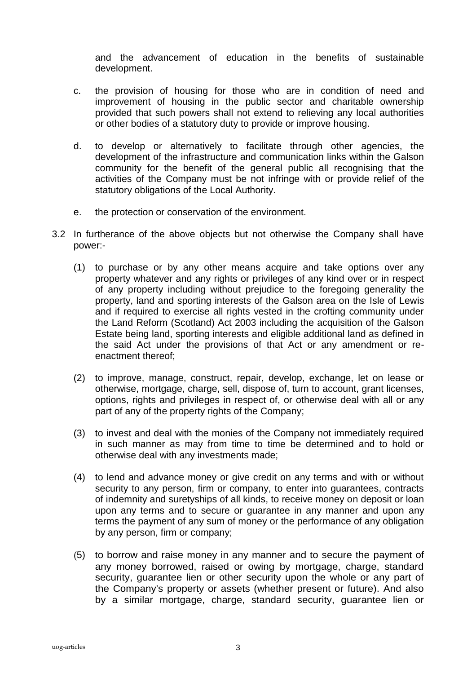and the advancement of education in the benefits of sustainable development.

- c. the provision of housing for those who are in condition of need and improvement of housing in the public sector and charitable ownership provided that such powers shall not extend to relieving any local authorities or other bodies of a statutory duty to provide or improve housing.
- d. to develop or alternatively to facilitate through other agencies, the development of the infrastructure and communication links within the Galson community for the benefit of the general public all recognising that the activities of the Company must be not infringe with or provide relief of the statutory obligations of the Local Authority.
- e. the protection or conservation of the environment.
- 3.2 In furtherance of the above objects but not otherwise the Company shall have power:-
	- (1) to purchase or by any other means acquire and take options over any property whatever and any rights or privileges of any kind over or in respect of any property including without prejudice to the foregoing generality the property, land and sporting interests of the Galson area on the Isle of Lewis and if required to exercise all rights vested in the crofting community under the Land Reform (Scotland) Act 2003 including the acquisition of the Galson Estate being land, sporting interests and eligible additional land as defined in the said Act under the provisions of that Act or any amendment or reenactment thereof;
	- (2) to improve, manage, construct, repair, develop, exchange, let on lease or otherwise, mortgage, charge, sell, dispose of, turn to account, grant licenses, options, rights and privileges in respect of, or otherwise deal with all or any part of any of the property rights of the Company;
	- (3) to invest and deal with the monies of the Company not immediately required in such manner as may from time to time be determined and to hold or otherwise deal with any investments made;
	- (4) to lend and advance money or give credit on any terms and with or without security to any person, firm or company, to enter into guarantees, contracts of indemnity and suretyships of all kinds, to receive money on deposit or loan upon any terms and to secure or guarantee in any manner and upon any terms the payment of any sum of money or the performance of any obligation by any person, firm or company;
	- (5) to borrow and raise money in any manner and to secure the payment of any money borrowed, raised or owing by mortgage, charge, standard security, guarantee lien or other security upon the whole or any part of the Company's property or assets (whether present or future). And also by a similar mortgage, charge, standard security, guarantee lien or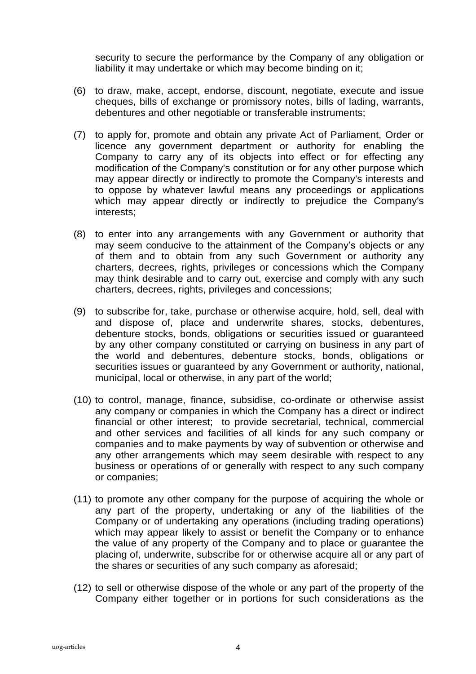security to secure the performance by the Company of any obligation or liability it may undertake or which may become binding on it;

- (6) to draw, make, accept, endorse, discount, negotiate, execute and issue cheques, bills of exchange or promissory notes, bills of lading, warrants, debentures and other negotiable or transferable instruments;
- (7) to apply for, promote and obtain any private Act of Parliament, Order or licence any government department or authority for enabling the Company to carry any of its objects into effect or for effecting any modification of the Company's constitution or for any other purpose which may appear directly or indirectly to promote the Company's interests and to oppose by whatever lawful means any proceedings or applications which may appear directly or indirectly to prejudice the Company's interests;
- (8) to enter into any arrangements with any Government or authority that may seem conducive to the attainment of the Company's objects or any of them and to obtain from any such Government or authority any charters, decrees, rights, privileges or concessions which the Company may think desirable and to carry out, exercise and comply with any such charters, decrees, rights, privileges and concessions;
- (9) to subscribe for, take, purchase or otherwise acquire, hold, sell, deal with and dispose of, place and underwrite shares, stocks, debentures, debenture stocks, bonds, obligations or securities issued or guaranteed by any other company constituted or carrying on business in any part of the world and debentures, debenture stocks, bonds, obligations or securities issues or guaranteed by any Government or authority, national, municipal, local or otherwise, in any part of the world;
- (10) to control, manage, finance, subsidise, co-ordinate or otherwise assist any company or companies in which the Company has a direct or indirect financial or other interest; to provide secretarial, technical, commercial and other services and facilities of all kinds for any such company or companies and to make payments by way of subvention or otherwise and any other arrangements which may seem desirable with respect to any business or operations of or generally with respect to any such company or companies;
- (11) to promote any other company for the purpose of acquiring the whole or any part of the property, undertaking or any of the liabilities of the Company or of undertaking any operations (including trading operations) which may appear likely to assist or benefit the Company or to enhance the value of any property of the Company and to place or guarantee the placing of, underwrite, subscribe for or otherwise acquire all or any part of the shares or securities of any such company as aforesaid;
- (12) to sell or otherwise dispose of the whole or any part of the property of the Company either together or in portions for such considerations as the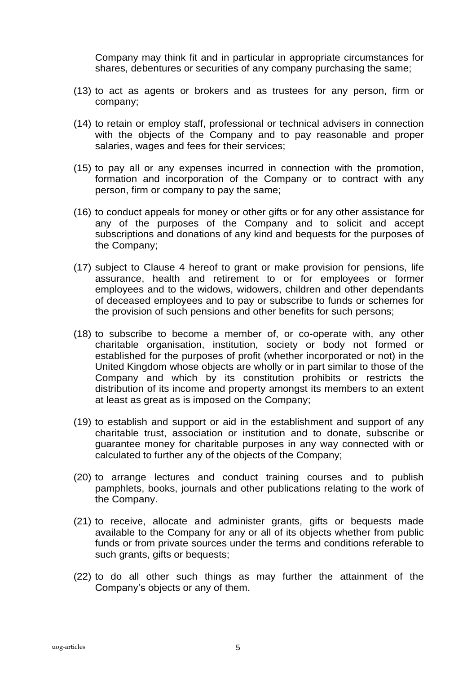Company may think fit and in particular in appropriate circumstances for shares, debentures or securities of any company purchasing the same;

- (13) to act as agents or brokers and as trustees for any person, firm or company;
- (14) to retain or employ staff, professional or technical advisers in connection with the objects of the Company and to pay reasonable and proper salaries, wages and fees for their services;
- (15) to pay all or any expenses incurred in connection with the promotion, formation and incorporation of the Company or to contract with any person, firm or company to pay the same;
- (16) to conduct appeals for money or other gifts or for any other assistance for any of the purposes of the Company and to solicit and accept subscriptions and donations of any kind and bequests for the purposes of the Company;
- (17) subject to Clause 4 hereof to grant or make provision for pensions, life assurance, health and retirement to or for employees or former employees and to the widows, widowers, children and other dependants of deceased employees and to pay or subscribe to funds or schemes for the provision of such pensions and other benefits for such persons;
- (18) to subscribe to become a member of, or co-operate with, any other charitable organisation, institution, society or body not formed or established for the purposes of profit (whether incorporated or not) in the United Kingdom whose objects are wholly or in part similar to those of the Company and which by its constitution prohibits or restricts the distribution of its income and property amongst its members to an extent at least as great as is imposed on the Company;
- (19) to establish and support or aid in the establishment and support of any charitable trust, association or institution and to donate, subscribe or guarantee money for charitable purposes in any way connected with or calculated to further any of the objects of the Company;
- (20) to arrange lectures and conduct training courses and to publish pamphlets, books, journals and other publications relating to the work of the Company.
- (21) to receive, allocate and administer grants, gifts or bequests made available to the Company for any or all of its objects whether from public funds or from private sources under the terms and conditions referable to such grants, gifts or bequests;
- (22) to do all other such things as may further the attainment of the Company's objects or any of them.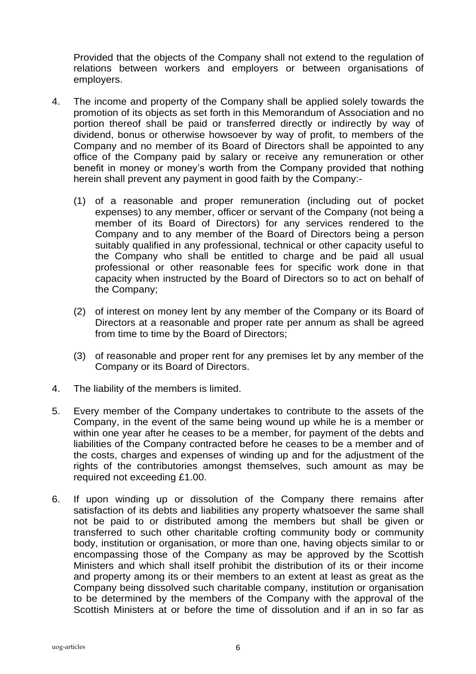Provided that the objects of the Company shall not extend to the regulation of relations between workers and employers or between organisations of employers.

- 4. The income and property of the Company shall be applied solely towards the promotion of its objects as set forth in this Memorandum of Association and no portion thereof shall be paid or transferred directly or indirectly by way of dividend, bonus or otherwise howsoever by way of profit, to members of the Company and no member of its Board of Directors shall be appointed to any office of the Company paid by salary or receive any remuneration or other benefit in money or money's worth from the Company provided that nothing herein shall prevent any payment in good faith by the Company:-
	- (1) of a reasonable and proper remuneration (including out of pocket expenses) to any member, officer or servant of the Company (not being a member of its Board of Directors) for any services rendered to the Company and to any member of the Board of Directors being a person suitably qualified in any professional, technical or other capacity useful to the Company who shall be entitled to charge and be paid all usual professional or other reasonable fees for specific work done in that capacity when instructed by the Board of Directors so to act on behalf of the Company;
	- (2) of interest on money lent by any member of the Company or its Board of Directors at a reasonable and proper rate per annum as shall be agreed from time to time by the Board of Directors;
	- (3) of reasonable and proper rent for any premises let by any member of the Company or its Board of Directors.
- 4. The liability of the members is limited.
- 5. Every member of the Company undertakes to contribute to the assets of the Company, in the event of the same being wound up while he is a member or within one year after he ceases to be a member, for payment of the debts and liabilities of the Company contracted before he ceases to be a member and of the costs, charges and expenses of winding up and for the adjustment of the rights of the contributories amongst themselves, such amount as may be required not exceeding £1.00.
- 6. If upon winding up or dissolution of the Company there remains after satisfaction of its debts and liabilities any property whatsoever the same shall not be paid to or distributed among the members but shall be given or transferred to such other charitable crofting community body or community body, institution or organisation, or more than one, having objects similar to or encompassing those of the Company as may be approved by the Scottish Ministers and which shall itself prohibit the distribution of its or their income and property among its or their members to an extent at least as great as the Company being dissolved such charitable company, institution or organisation to be determined by the members of the Company with the approval of the Scottish Ministers at or before the time of dissolution and if an in so far as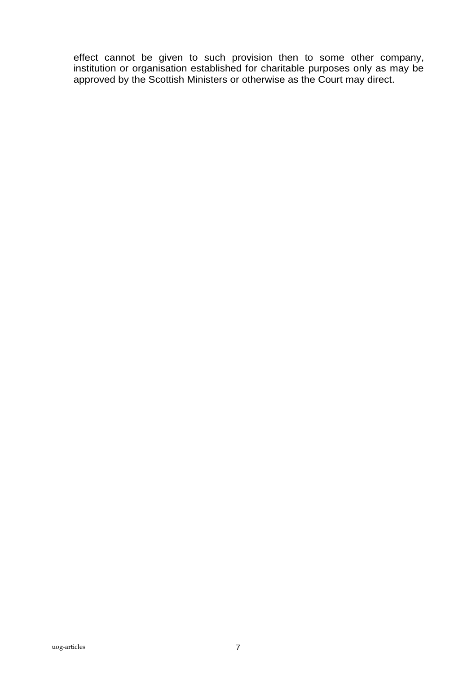effect cannot be given to such provision then to some other company, institution or organisation established for charitable purposes only as may be approved by the Scottish Ministers or otherwise as the Court may direct.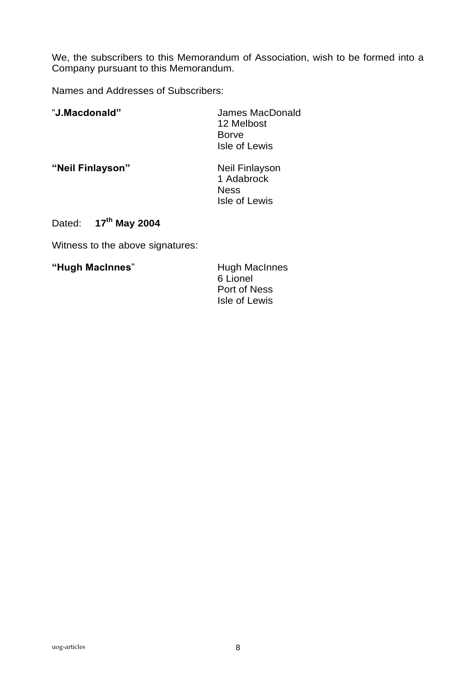We, the subscribers to this Memorandum of Association, wish to be formed into a Company pursuant to this Memorandum.

Names and Addresses of Subscribers:

| "J.Macdonald"                | James MacDonald<br>12 Melbost<br><b>Borve</b><br>Isle of Lewis |
|------------------------------|----------------------------------------------------------------|
| "Neil Finlayson"             | Neil Finlayson<br>1 Adabrock<br><b>Ness</b><br>Isle of Lewis   |
| $17^{th}$ May 2004<br>Dated: |                                                                |

Witness to the above signatures:

"Hugh MacInnes" **Hugh MacInnes** 

6 Lionel Port of Ness Isle of Lewis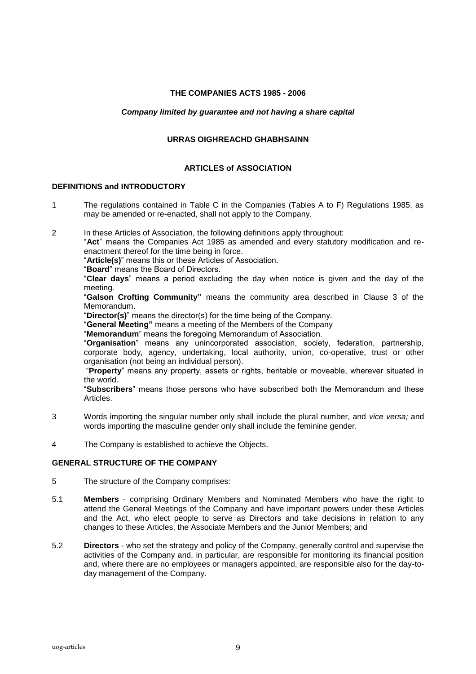## **THE COMPANIES ACTS 1985 - 2006**

## *Company limited by guarantee and not having a share capital*

## **URRAS OIGHREACHD GHABHSAINN**

#### **ARTICLES of ASSOCIATION**

#### **DEFINITIONS and INTRODUCTORY**

- 1 The regulations contained in Table C in the Companies (Tables A to F) Regulations 1985, as may be amended or re-enacted, shall not apply to the Company.
- 2 In these Articles of Association, the following definitions apply throughout:

"**Act**" means the Companies Act 1985 as amended and every statutory modification and reenactment thereof for the time being in force.

"**Article(s)**" means this or these Articles of Association.

"**Board**" means the Board of Directors.

"**Clear days**" means a period excluding the day when notice is given and the day of the meeting.

"**Galson Crofting Community"** means the community area described in Clause 3 of the Memorandum.

"**Director(s)**" means the director(s) for the time being of the Company.

"**General Meeting"** means a meeting of the Members of the Company

"**Memorandum**" means the foregoing Memorandum of Association.

"**Organisation**" means any unincorporated association, society, federation, partnership, corporate body, agency, undertaking, local authority, union, co-operative, trust or other organisation (not being an individual person).

"**Property**" means any property, assets or rights, heritable or moveable, wherever situated in the world.

"**Subscribers**" means those persons who have subscribed both the Memorandum and these Articles.

- 3 Words importing the singular number only shall include the plural number, and *vice versa;* and words importing the masculine gender only shall include the feminine gender.
- 4 The Company is established to achieve the Objects.

#### **GENERAL STRUCTURE OF THE COMPANY**

- 5 The structure of the Company comprises:
- 5.1 **Members** comprising Ordinary Members and Nominated Members who have the right to attend the General Meetings of the Company and have important powers under these Articles and the Act, who elect people to serve as Directors and take decisions in relation to any changes to these Articles, the Associate Members and the Junior Members; and
- 5.2 **Directors** who set the strategy and policy of the Company, generally control and supervise the activities of the Company and, in particular, are responsible for monitoring its financial position and, where there are no employees or managers appointed, are responsible also for the day-today management of the Company.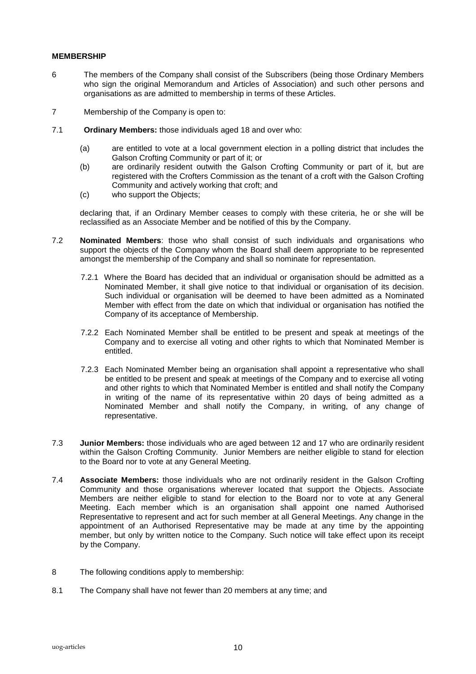## **MEMBERSHIP**

- 6 The members of the Company shall consist of the Subscribers (being those Ordinary Members who sign the original Memorandum and Articles of Association) and such other persons and organisations as are admitted to membership in terms of these Articles.
- 7 Membership of the Company is open to:
- 7.1 **Ordinary Members:** those individuals aged 18 and over who:
	- (a) are entitled to vote at a local government election in a polling district that includes the Galson Crofting Community or part of it; or
	- (b) are ordinarily resident outwith the Galson Crofting Community or part of it, but are registered with the Crofters Commission as the tenant of a croft with the Galson Crofting Community and actively working that croft; and
	- (c) who support the Objects;

declaring that, if an Ordinary Member ceases to comply with these criteria, he or she will be reclassified as an Associate Member and be notified of this by the Company.

- 7.2 **Nominated Members**: those who shall consist of such individuals and organisations who support the objects of the Company whom the Board shall deem appropriate to be represented amongst the membership of the Company and shall so nominate for representation.
	- 7.2.1Where the Board has decided that an individual or organisation should be admitted as a Nominated Member, it shall give notice to that individual or organisation of its decision. Such individual or organisation will be deemed to have been admitted as a Nominated Member with effect from the date on which that individual or organisation has notified the Company of its acceptance of Membership.
	- 7.2.2 Each Nominated Member shall be entitled to be present and speak at meetings of the Company and to exercise all voting and other rights to which that Nominated Member is entitled.
	- 7.2.3 Each Nominated Member being an organisation shall appoint a representative who shall be entitled to be present and speak at meetings of the Company and to exercise all voting and other rights to which that Nominated Member is entitled and shall notify the Company in writing of the name of its representative within 20 days of being admitted as a Nominated Member and shall notify the Company, in writing, of any change of representative.
- 7.3 **Junior Members:** those individuals who are aged between 12 and 17 who are ordinarily resident within the Galson Crofting Community. Junior Members are neither eligible to stand for election to the Board nor to vote at any General Meeting.
- 7.4 **Associate Members:** those individuals who are not ordinarily resident in the Galson Crofting Community and those organisations wherever located that support the Objects. Associate Members are neither eligible to stand for election to the Board nor to vote at any General Meeting. Each member which is an organisation shall appoint one named Authorised Representative to represent and act for such member at all General Meetings. Any change in the appointment of an Authorised Representative may be made at any time by the appointing member, but only by written notice to the Company. Such notice will take effect upon its receipt by the Company.
- 8 The following conditions apply to membership:
- 8.1 The Company shall have not fewer than 20 members at any time; and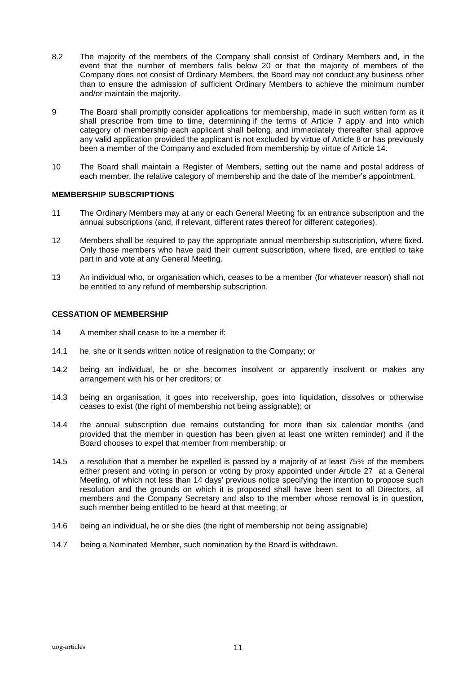- 8.2 The majority of the members of the Company shall consist of Ordinary Members and, in the event that the number of members falls below 20 or that the majority of members of the Company does not consist of Ordinary Members, the Board may not conduct any business other than to ensure the admission of sufficient Ordinary Members to achieve the minimum number and/or maintain the majority.
- 9 The Board shall promptly consider applications for membership, made in such written form as it shall prescribe from time to time, determining if the terms of Article 7 apply and into which category of membership each applicant shall belong, and immediately thereafter shall approve any valid application provided the applicant is not excluded by virtue of Article 8 or has previously been a member of the Company and excluded from membership by virtue of Article 14.
- 10 The Board shall maintain a Register of Members, setting out the name and postal address of each member, the relative category of membership and the date of the member's appointment.

## **MEMBERSHIP SUBSCRIPTIONS**

- 11 The Ordinary Members may at any or each General Meeting fix an entrance subscription and the annual subscriptions (and, if relevant, different rates thereof for different categories).
- 12 Members shall be required to pay the appropriate annual membership subscription, where fixed. Only those members who have paid their current subscription, where fixed, are entitled to take part in and vote at any General Meeting.
- 13 An individual who, or organisation which, ceases to be a member (for whatever reason) shall not be entitled to any refund of membership subscription.

#### **CESSATION OF MEMBERSHIP**

- 14 A member shall cease to be a member if:
- 14.1 he, she or it sends written notice of resignation to the Company; or
- 14.2 being an individual, he or she becomes insolvent or apparently insolvent or makes any arrangement with his or her creditors; or
- 14.3 being an organisation, it goes into receivership, goes into liquidation, dissolves or otherwise ceases to exist (the right of membership not being assignable); or
- 14.4 the annual subscription due remains outstanding for more than six calendar months (and provided that the member in question has been given at least one written reminder) and if the Board chooses to expel that member from membership; or
- 14.5 a resolution that a member be expelled is passed by a majority of at least 75% of the members either present and voting in person or voting by proxy appointed under Article 27 at a General Meeting, of which not less than 14 days' previous notice specifying the intention to propose such resolution and the grounds on which it is proposed shall have been sent to all Directors, all members and the Company Secretary and also to the member whose removal is in question, such member being entitled to be heard at that meeting; or
- 14.6 being an individual, he or she dies (the right of membership not being assignable)
- 14.7 being a Nominated Member, such nomination by the Board is withdrawn.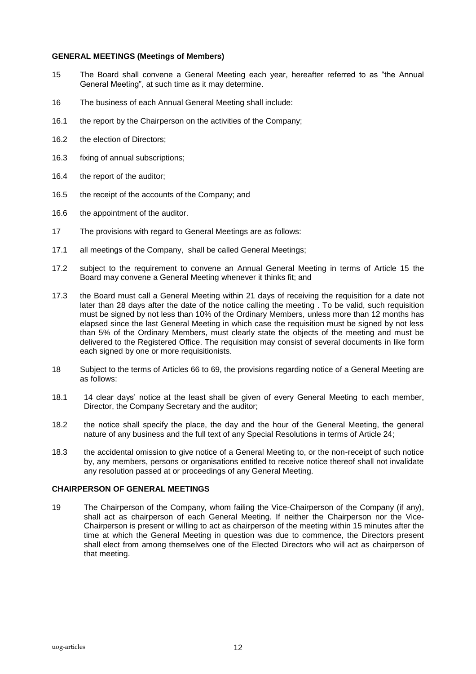### **GENERAL MEETINGS (Meetings of Members)**

- 15 The Board shall convene a General Meeting each year, hereafter referred to as "the Annual General Meeting", at such time as it may determine.
- 16 The business of each Annual General Meeting shall include:
- 16.1 the report by the Chairperson on the activities of the Company;
- 16.2 the election of Directors;
- 16.3 fixing of annual subscriptions;
- 16.4 the report of the auditor;
- 16.5 the receipt of the accounts of the Company; and
- 16.6 the appointment of the auditor.
- 17 The provisions with regard to General Meetings are as follows:
- 17.1 all meetings of the Company, shall be called General Meetings;
- 17.2 subject to the requirement to convene an Annual General Meeting in terms of Article 15 the Board may convene a General Meeting whenever it thinks fit; and
- 17.3 the Board must call a General Meeting within 21 days of receiving the requisition for a date not later than 28 days after the date of the notice calling the meeting . To be valid, such requisition must be signed by not less than 10% of the Ordinary Members, unless more than 12 months has elapsed since the last General Meeting in which case the requisition must be signed by not less than 5% of the Ordinary Members, must clearly state the objects of the meeting and must be delivered to the Registered Office. The requisition may consist of several documents in like form each signed by one or more requisitionists.
- 18 Subject to the terms of Articles 66 to 69, the provisions regarding notice of a General Meeting are as follows:
- 18.1 14 clear days' notice at the least shall be given of every General Meeting to each member, Director, the Company Secretary and the auditor;
- 18.2 the notice shall specify the place, the day and the hour of the General Meeting, the general nature of any business and the full text of any Special Resolutions in terms of Article 24;
- 18.3 the accidental omission to give notice of a General Meeting to, or the non-receipt of such notice by, any members, persons or organisations entitled to receive notice thereof shall not invalidate any resolution passed at or proceedings of any General Meeting.

## **CHAIRPERSON OF GENERAL MEETINGS**

19 The Chairperson of the Company, whom failing the Vice-Chairperson of the Company (if any), shall act as chairperson of each General Meeting. If neither the Chairperson nor the Vice-Chairperson is present or willing to act as chairperson of the meeting within 15 minutes after the time at which the General Meeting in question was due to commence, the Directors present shall elect from among themselves one of the Elected Directors who will act as chairperson of that meeting.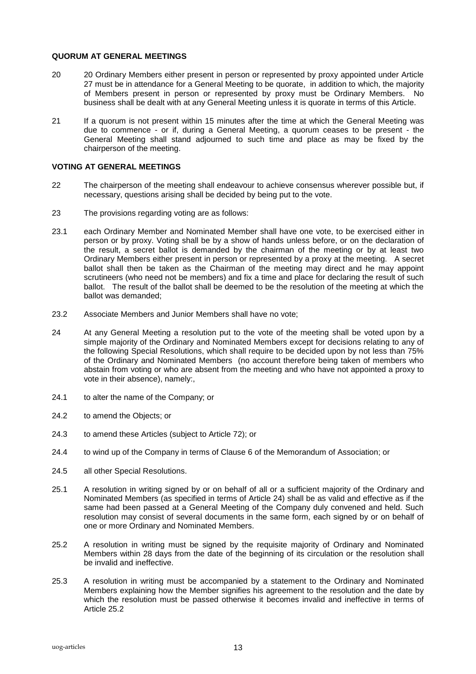#### **QUORUM AT GENERAL MEETINGS**

- 20 20 Ordinary Members either present in person or represented by proxy appointed under Article 27 must be in attendance for a General Meeting to be quorate, in addition to which, the majority of Members present in person or represented by proxy must be Ordinary Members. No business shall be dealt with at any General Meeting unless it is quorate in terms of this Article.
- 21 If a quorum is not present within 15 minutes after the time at which the General Meeting was due to commence - or if, during a General Meeting, a quorum ceases to be present - the General Meeting shall stand adjourned to such time and place as may be fixed by the chairperson of the meeting.

## **VOTING AT GENERAL MEETINGS**

- 22 The chairperson of the meeting shall endeavour to achieve consensus wherever possible but, if necessary, questions arising shall be decided by being put to the vote.
- 23 The provisions regarding voting are as follows:
- 23.1 each Ordinary Member and Nominated Member shall have one vote, to be exercised either in person or by proxy. Voting shall be by a show of hands unless before, or on the declaration of the result, a secret ballot is demanded by the chairman of the meeting or by at least two Ordinary Members either present in person or represented by a proxy at the meeting. A secret ballot shall then be taken as the Chairman of the meeting may direct and he may appoint scrutineers (who need not be members) and fix a time and place for declaring the result of such ballot. The result of the ballot shall be deemed to be the resolution of the meeting at which the ballot was demanded;
- 23.2 Associate Members and Junior Members shall have no vote;
- 24 At any General Meeting a resolution put to the vote of the meeting shall be voted upon by a simple majority of the Ordinary and Nominated Members except for decisions relating to any of the following Special Resolutions, which shall require to be decided upon by not less than 75% of the Ordinary and Nominated Members (no account therefore being taken of members who abstain from voting or who are absent from the meeting and who have not appointed a proxy to vote in their absence), namely:,
- 24.1 to alter the name of the Company; or
- 24.2 to amend the Objects; or
- 24.3 to amend these Articles (subject to Article 72); or
- 24.4 to wind up of the Company in terms of Clause 6 of the Memorandum of Association; or
- 24.5 all other Special Resolutions.
- 25.1 A resolution in writing signed by or on behalf of all or a sufficient majority of the Ordinary and Nominated Members (as specified in terms of Article 24) shall be as valid and effective as if the same had been passed at a General Meeting of the Company duly convened and held. Such resolution may consist of several documents in the same form, each signed by or on behalf of one or more Ordinary and Nominated Members.
- 25.2 A resolution in writing must be signed by the requisite majority of Ordinary and Nominated Members within 28 days from the date of the beginning of its circulation or the resolution shall be invalid and ineffective.
- 25.3 A resolution in writing must be accompanied by a statement to the Ordinary and Nominated Members explaining how the Member signifies his agreement to the resolution and the date by which the resolution must be passed otherwise it becomes invalid and ineffective in terms of Article 25.2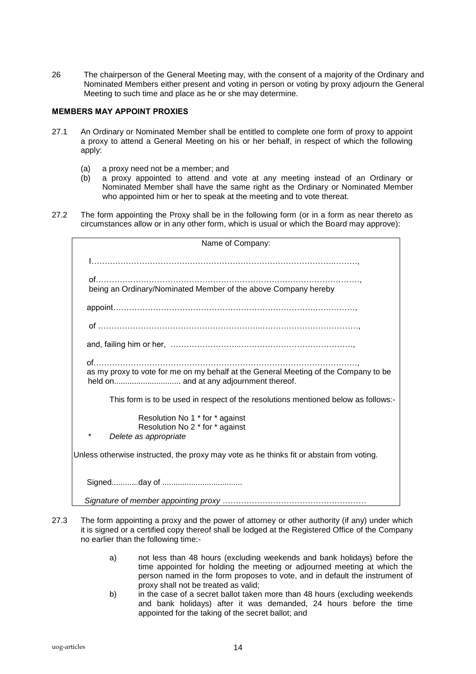26 The chairperson of the General Meeting may, with the consent of a majority of the Ordinary and Nominated Members either present and voting in person or voting by proxy adjourn the General Meeting to such time and place as he or she may determine.

## **MEMBERS MAY APPOINT PROXIES**

- 27.1 An Ordinary or Nominated Member shall be entitled to complete one form of proxy to appoint a proxy to attend a General Meeting on his or her behalf, in respect of which the following apply:
	- (a) a proxy need not be a member; and
	- (b) a proxy appointed to attend and vote at any meeting instead of an Ordinary or Nominated Member shall have the same right as the Ordinary or Nominated Member who appointed him or her to speak at the meeting and to vote thereat.
- 27.2 The form appointing the Proxy shall be in the following form (or in a form as near thereto as circumstances allow or in any other form, which is usual or which the Board may approve):

| Name of Company:                                                                                        |  |  |
|---------------------------------------------------------------------------------------------------------|--|--|
|                                                                                                         |  |  |
|                                                                                                         |  |  |
| being an Ordinary/Nominated Member of the above Company hereby                                          |  |  |
|                                                                                                         |  |  |
|                                                                                                         |  |  |
|                                                                                                         |  |  |
| as my proxy to vote for me on my behalf at the General Meeting of the Company to be                     |  |  |
| This form is to be used in respect of the resolutions mentioned below as follows:-                      |  |  |
| Resolution No 1 * for * against<br>Resolution No 2 * for * against<br>$^\star$<br>Delete as appropriate |  |  |
| Unless otherwise instructed, the proxy may vote as he thinks fit or abstain from voting.                |  |  |
|                                                                                                         |  |  |
|                                                                                                         |  |  |

- 27.3 The form appointing a proxy and the power of attorney or other authority (if any) under which it is signed or a certified copy thereof shall be lodged at the Registered Office of the Company no earlier than the following time:
	- a) not less than 48 hours (excluding weekends and bank holidays) before the time appointed for holding the meeting or adjourned meeting at which the person named in the form proposes to vote, and in default the instrument of proxy shall not be treated as valid;
	- b) in the case of a secret ballot taken more than 48 hours (excluding weekends and bank holidays) after it was demanded, 24 hours before the time appointed for the taking of the secret ballot; and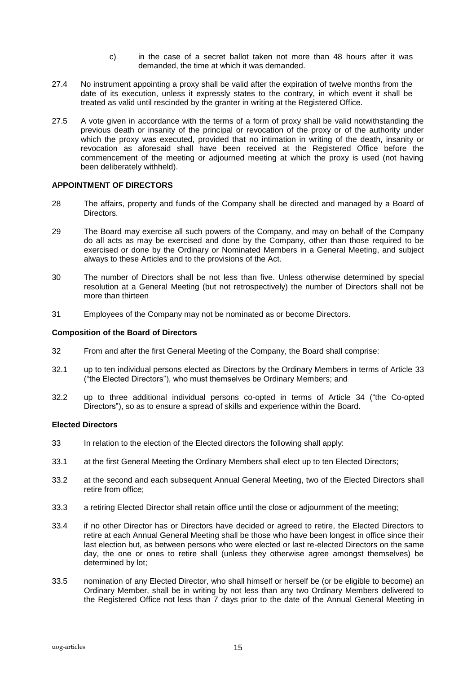- c) in the case of a secret ballot taken not more than 48 hours after it was demanded, the time at which it was demanded.
- 27.4 No instrument appointing a proxy shall be valid after the expiration of twelve months from the date of its execution, unless it expressly states to the contrary, in which event it shall be treated as valid until rescinded by the granter in writing at the Registered Office.
- 27.5 A vote given in accordance with the terms of a form of proxy shall be valid notwithstanding the previous death or insanity of the principal or revocation of the proxy or of the authority under which the proxy was executed, provided that no intimation in writing of the death, insanity or revocation as aforesaid shall have been received at the Registered Office before the commencement of the meeting or adjourned meeting at which the proxy is used (not having been deliberately withheld).

## **APPOINTMENT OF DIRECTORS**

- 28 The affairs, property and funds of the Company shall be directed and managed by a Board of Directors.
- 29 The Board may exercise all such powers of the Company, and may on behalf of the Company do all acts as may be exercised and done by the Company, other than those required to be exercised or done by the Ordinary or Nominated Members in a General Meeting, and subject always to these Articles and to the provisions of the Act.
- 30 The number of Directors shall be not less than five. Unless otherwise determined by special resolution at a General Meeting (but not retrospectively) the number of Directors shall not be more than thirteen
- 31 Employees of the Company may not be nominated as or become Directors.

#### **Composition of the Board of Directors**

- 32 From and after the first General Meeting of the Company, the Board shall comprise:
- 32.1 up to ten individual persons elected as Directors by the Ordinary Members in terms of Article 33 ("the Elected Directors"), who must themselves be Ordinary Members; and
- 32.2 up to three additional individual persons co-opted in terms of Article 34 ("the Co-opted Directors"), so as to ensure a spread of skills and experience within the Board.

#### **Elected Directors**

- 33 In relation to the election of the Elected directors the following shall apply:
- 33.1 at the first General Meeting the Ordinary Members shall elect up to ten Elected Directors;
- 33.2 at the second and each subsequent Annual General Meeting, two of the Elected Directors shall retire from office;
- 33.3 a retiring Elected Director shall retain office until the close or adjournment of the meeting;
- 33.4 if no other Director has or Directors have decided or agreed to retire, the Elected Directors to retire at each Annual General Meeting shall be those who have been longest in office since their last election but, as between persons who were elected or last re-elected Directors on the same day, the one or ones to retire shall (unless they otherwise agree amongst themselves) be determined by lot;
- 33.5 nomination of any Elected Director, who shall himself or herself be (or be eligible to become) an Ordinary Member, shall be in writing by not less than any two Ordinary Members delivered to the Registered Office not less than 7 days prior to the date of the Annual General Meeting in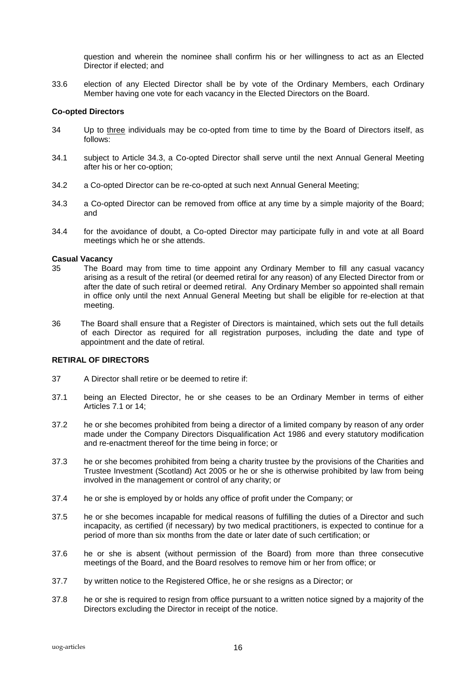question and wherein the nominee shall confirm his or her willingness to act as an Elected Director if elected; and

33.6 election of any Elected Director shall be by vote of the Ordinary Members, each Ordinary Member having one vote for each vacancy in the Elected Directors on the Board.

## **Co-opted Directors**

- 34 Up to three individuals may be co-opted from time to time by the Board of Directors itself, as follows:
- 34.1 subject to Article 34.3, a Co-opted Director shall serve until the next Annual General Meeting after his or her co-option;
- 34.2 a Co-opted Director can be re-co-opted at such next Annual General Meeting;
- 34.3 a Co-opted Director can be removed from office at any time by a simple majority of the Board; and
- 34.4 for the avoidance of doubt, a Co-opted Director may participate fully in and vote at all Board meetings which he or she attends.

### **Casual Vacancy**

- 35 The Board may from time to time appoint any Ordinary Member to fill any casual vacancy arising as a result of the retiral (or deemed retiral for any reason) of any Elected Director from or after the date of such retiral or deemed retiral. Any Ordinary Member so appointed shall remain in office only until the next Annual General Meeting but shall be eligible for re-election at that meeting.
- 36 The Board shall ensure that a Register of Directors is maintained, which sets out the full details of each Director as required for all registration purposes, including the date and type of appointment and the date of retiral.

### **RETIRAL OF DIRECTORS**

- 37 A Director shall retire or be deemed to retire if:
- 37.1 being an Elected Director, he or she ceases to be an Ordinary Member in terms of either Articles 7.1 or 14;
- 37.2 he or she becomes prohibited from being a director of a limited company by reason of any order made under the Company Directors Disqualification Act 1986 and every statutory modification and re-enactment thereof for the time being in force; or
- 37.3 he or she becomes prohibited from being a charity trustee by the provisions of the Charities and Trustee Investment (Scotland) Act 2005 or he or she is otherwise prohibited by law from being involved in the management or control of any charity; or
- 37.4 he or she is employed by or holds any office of profit under the Company; or
- 37.5 he or she becomes incapable for medical reasons of fulfilling the duties of a Director and such incapacity, as certified (if necessary) by two medical practitioners, is expected to continue for a period of more than six months from the date or later date of such certification; or
- 37.6 he or she is absent (without permission of the Board) from more than three consecutive meetings of the Board, and the Board resolves to remove him or her from office; or
- 37.7 by written notice to the Registered Office, he or she resigns as a Director; or
- 37.8 he or she is required to resign from office pursuant to a written notice signed by a majority of the Directors excluding the Director in receipt of the notice.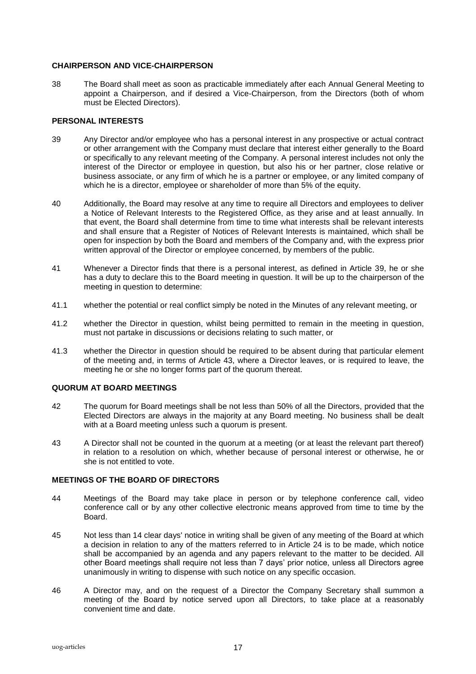## **CHAIRPERSON AND VICE-CHAIRPERSON**

38 The Board shall meet as soon as practicable immediately after each Annual General Meeting to appoint a Chairperson, and if desired a Vice-Chairperson, from the Directors (both of whom must be Elected Directors).

## **PERSONAL INTERESTS**

- 39 Any Director and/or employee who has a personal interest in any prospective or actual contract or other arrangement with the Company must declare that interest either generally to the Board or specifically to any relevant meeting of the Company. A personal interest includes not only the interest of the Director or employee in question, but also his or her partner, close relative or business associate, or any firm of which he is a partner or employee, or any limited company of which he is a director, employee or shareholder of more than 5% of the equity.
- 40 Additionally, the Board may resolve at any time to require all Directors and employees to deliver a Notice of Relevant Interests to the Registered Office, as they arise and at least annually. In that event, the Board shall determine from time to time what interests shall be relevant interests and shall ensure that a Register of Notices of Relevant Interests is maintained, which shall be open for inspection by both the Board and members of the Company and, with the express prior written approval of the Director or employee concerned, by members of the public.
- 41 Whenever a Director finds that there is a personal interest, as defined in Article 39, he or she has a duty to declare this to the Board meeting in question. It will be up to the chairperson of the meeting in question to determine:
- 41.1 whether the potential or real conflict simply be noted in the Minutes of any relevant meeting, or
- 41.2 whether the Director in question, whilst being permitted to remain in the meeting in question, must not partake in discussions or decisions relating to such matter, or
- 41.3 whether the Director in question should be required to be absent during that particular element of the meeting and, in terms of Article 43, where a Director leaves, or is required to leave, the meeting he or she no longer forms part of the quorum thereat.

## **QUORUM AT BOARD MEETINGS**

- 42 The quorum for Board meetings shall be not less than 50% of all the Directors, provided that the Elected Directors are always in the majority at any Board meeting. No business shall be dealt with at a Board meeting unless such a quorum is present.
- 43 A Director shall not be counted in the quorum at a meeting (or at least the relevant part thereof) in relation to a resolution on which, whether because of personal interest or otherwise, he or she is not entitled to vote.

## **MEETINGS OF THE BOARD OF DIRECTORS**

- 44 Meetings of the Board may take place in person or by telephone conference call, video conference call or by any other collective electronic means approved from time to time by the Board.
- 45 Not less than 14 clear days' notice in writing shall be given of any meeting of the Board at which a decision in relation to any of the matters referred to in Article 24 is to be made, which notice shall be accompanied by an agenda and any papers relevant to the matter to be decided. All other Board meetings shall require not less than 7 days' prior notice, unless all Directors agree unanimously in writing to dispense with such notice on any specific occasion.
- 46 A Director may, and on the request of a Director the Company Secretary shall summon a meeting of the Board by notice served upon all Directors, to take place at a reasonably convenient time and date.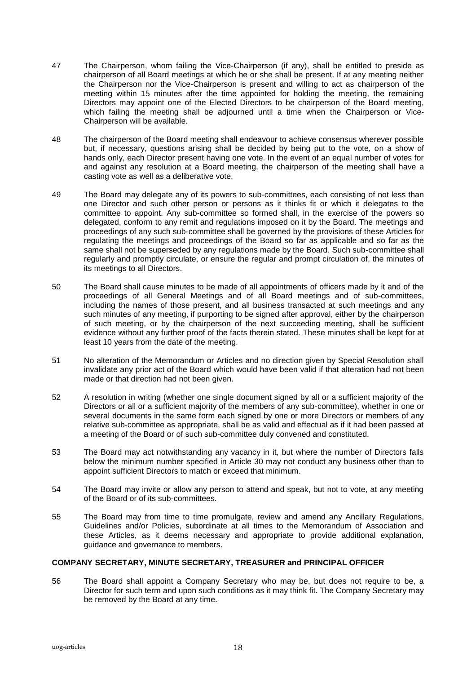- 47 The Chairperson, whom failing the Vice-Chairperson (if any), shall be entitled to preside as chairperson of all Board meetings at which he or she shall be present. If at any meeting neither the Chairperson nor the Vice-Chairperson is present and willing to act as chairperson of the meeting within 15 minutes after the time appointed for holding the meeting, the remaining Directors may appoint one of the Elected Directors to be chairperson of the Board meeting, which failing the meeting shall be adjourned until a time when the Chairperson or Vice-Chairperson will be available.
- 48 The chairperson of the Board meeting shall endeavour to achieve consensus wherever possible but, if necessary, questions arising shall be decided by being put to the vote, on a show of hands only, each Director present having one vote. In the event of an equal number of votes for and against any resolution at a Board meeting, the chairperson of the meeting shall have a casting vote as well as a deliberative vote.
- 49 The Board may delegate any of its powers to sub-committees, each consisting of not less than one Director and such other person or persons as it thinks fit or which it delegates to the committee to appoint. Any sub-committee so formed shall, in the exercise of the powers so delegated, conform to any remit and regulations imposed on it by the Board. The meetings and proceedings of any such sub-committee shall be governed by the provisions of these Articles for regulating the meetings and proceedings of the Board so far as applicable and so far as the same shall not be superseded by any regulations made by the Board. Such sub-committee shall regularly and promptly circulate, or ensure the regular and prompt circulation of, the minutes of its meetings to all Directors.
- 50 The Board shall cause minutes to be made of all appointments of officers made by it and of the proceedings of all General Meetings and of all Board meetings and of sub-committees, including the names of those present, and all business transacted at such meetings and any such minutes of any meeting, if purporting to be signed after approval, either by the chairperson of such meeting, or by the chairperson of the next succeeding meeting, shall be sufficient evidence without any further proof of the facts therein stated. These minutes shall be kept for at least 10 years from the date of the meeting.
- 51 No alteration of the Memorandum or Articles and no direction given by Special Resolution shall invalidate any prior act of the Board which would have been valid if that alteration had not been made or that direction had not been given.
- 52 A resolution in writing (whether one single document signed by all or a sufficient majority of the Directors or all or a sufficient majority of the members of any sub-committee), whether in one or several documents in the same form each signed by one or more Directors or members of any relative sub-committee as appropriate, shall be as valid and effectual as if it had been passed at a meeting of the Board or of such sub-committee duly convened and constituted.
- 53 The Board may act notwithstanding any vacancy in it, but where the number of Directors falls below the minimum number specified in Article 30 may not conduct any business other than to appoint sufficient Directors to match or exceed that minimum.
- 54 The Board may invite or allow any person to attend and speak, but not to vote, at any meeting of the Board or of its sub-committees.
- 55 The Board may from time to time promulgate, review and amend any Ancillary Regulations, Guidelines and/or Policies, subordinate at all times to the Memorandum of Association and these Articles, as it deems necessary and appropriate to provide additional explanation, guidance and governance to members.

#### **COMPANY SECRETARY, MINUTE SECRETARY, TREASURER and PRINCIPAL OFFICER**

56 The Board shall appoint a Company Secretary who may be, but does not require to be, a Director for such term and upon such conditions as it may think fit. The Company Secretary may be removed by the Board at any time.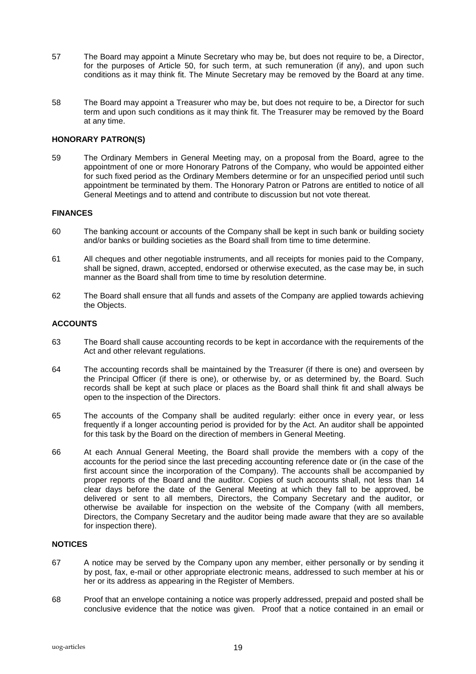- 57 The Board may appoint a Minute Secretary who may be, but does not require to be, a Director, for the purposes of Article 50, for such term, at such remuneration (if any), and upon such conditions as it may think fit. The Minute Secretary may be removed by the Board at any time.
- 58 The Board may appoint a Treasurer who may be, but does not require to be, a Director for such term and upon such conditions as it may think fit. The Treasurer may be removed by the Board at any time.

## **HONORARY PATRON(S)**

59 The Ordinary Members in General Meeting may, on a proposal from the Board, agree to the appointment of one or more Honorary Patrons of the Company, who would be appointed either for such fixed period as the Ordinary Members determine or for an unspecified period until such appointment be terminated by them. The Honorary Patron or Patrons are entitled to notice of all General Meetings and to attend and contribute to discussion but not vote thereat.

#### **FINANCES**

- 60 The banking account or accounts of the Company shall be kept in such bank or building society and/or banks or building societies as the Board shall from time to time determine.
- 61 All cheques and other negotiable instruments, and all receipts for monies paid to the Company, shall be signed, drawn, accepted, endorsed or otherwise executed, as the case may be, in such manner as the Board shall from time to time by resolution determine.
- 62 The Board shall ensure that all funds and assets of the Company are applied towards achieving the Objects.

#### **ACCOUNTS**

- 63 The Board shall cause accounting records to be kept in accordance with the requirements of the Act and other relevant regulations.
- 64 The accounting records shall be maintained by the Treasurer (if there is one) and overseen by the Principal Officer (if there is one), or otherwise by, or as determined by, the Board. Such records shall be kept at such place or places as the Board shall think fit and shall always be open to the inspection of the Directors.
- 65 The accounts of the Company shall be audited regularly: either once in every year, or less frequently if a longer accounting period is provided for by the Act. An auditor shall be appointed for this task by the Board on the direction of members in General Meeting.
- 66 At each Annual General Meeting, the Board shall provide the members with a copy of the accounts for the period since the last preceding accounting reference date or (in the case of the first account since the incorporation of the Company). The accounts shall be accompanied by proper reports of the Board and the auditor. Copies of such accounts shall, not less than 14 clear days before the date of the General Meeting at which they fall to be approved, be delivered or sent to all members, Directors, the Company Secretary and the auditor, or otherwise be available for inspection on the website of the Company (with all members, Directors, the Company Secretary and the auditor being made aware that they are so available for inspection there).

## **NOTICES**

- 67 A notice may be served by the Company upon any member, either personally or by sending it by post, fax, e-mail or other appropriate electronic means, addressed to such member at his or her or its address as appearing in the Register of Members.
- 68 Proof that an envelope containing a notice was properly addressed, prepaid and posted shall be conclusive evidence that the notice was given. Proof that a notice contained in an email or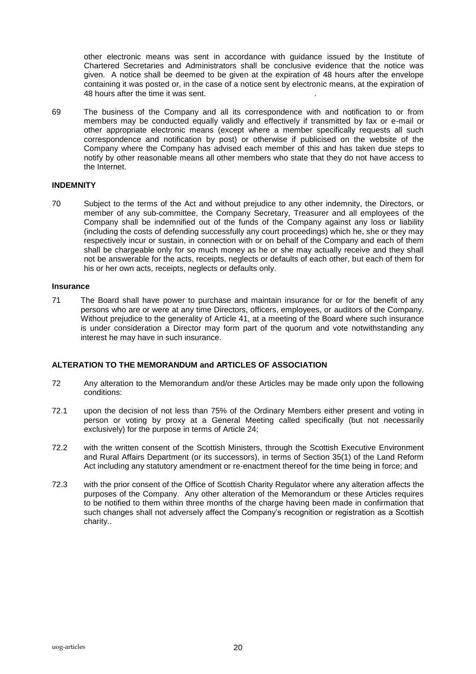other electronic means was sent in accordance with guidance issued by the Institute of Chartered Secretaries and Administrators shall be conclusive evidence that the notice was given. A notice shall be deemed to be given at the expiration of 48 hours after the envelope containing it was posted or, in the case of a notice sent by electronic means, at the expiration of 48 hours after the time it was sent.

69 The business of the Company and all its correspondence with and notification to or from members may be conducted equally validly and effectively if transmitted by fax or e-mail or other appropriate electronic means (except where a member specifically requests all such correspondence and notification by post) or otherwise if publicised on the website of the Company where the Company has advised each member of this and has taken due steps to notify by other reasonable means all other members who state that they do not have access to the Internet.

## **INDEMNITY**

70 Subject to the terms of the Act and without prejudice to any other indemnity, the Directors, or member of any sub-committee, the Company Secretary, Treasurer and all employees of the Company shall be indemnified out of the funds of the Company against any loss or liability (including the costs of defending successfully any court proceedings) which he, she or they may respectively incur or sustain, in connection with or on behalf of the Company and each of them shall be chargeable only for so much money as he or she may actually receive and they shall not be answerable for the acts, receipts, neglects or defaults of each other, but each of them for his or her own acts, receipts, neglects or defaults only.

#### **Insurance**

71 The Board shall have power to purchase and maintain insurance for or for the benefit of any persons who are or were at any time Directors, officers, employees, or auditors of the Company. Without prejudice to the generality of Article 41, at a meeting of the Board where such insurance is under consideration a Director may form part of the quorum and vote notwithstanding any interest he may have in such insurance.

## **ALTERATION TO THE MEMORANDUM and ARTICLES OF ASSOCIATION**

- 72 Any alteration to the Memorandum and/or these Articles may be made only upon the following conditions:
- 72.1 upon the decision of not less than 75% of the Ordinary Members either present and voting in person or voting by proxy at a General Meeting called specifically (but not necessarily exclusively) for the purpose in terms of Article 24;
- 72.2 with the written consent of the Scottish Ministers, through the Scottish Executive Environment and Rural Affairs Department (or its successors), in terms of Section 35(1) of the Land Reform Act including any statutory amendment or re-enactment thereof for the time being in force; and
- 72.3 with the prior consent of the Office of Scottish Charity Regulator where any alteration affects the purposes of the Company. Any other alteration of the Memorandum or these Articles requires to be notified to them within three months of the charge having been made in confirmation that such changes shall not adversely affect the Company's recognition or registration as a Scottish charity..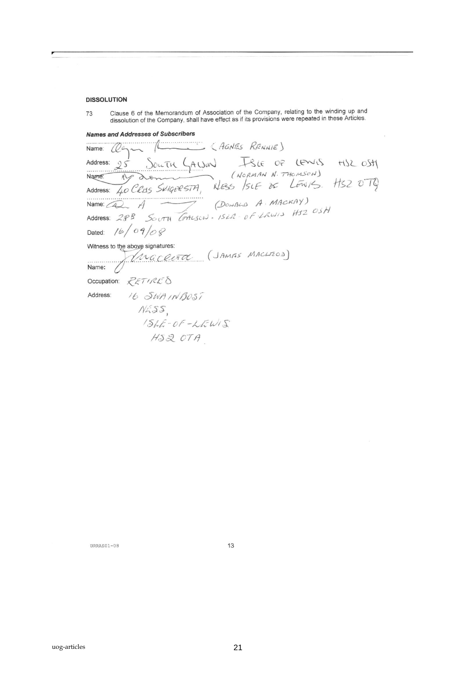#### **DISSOLUTION**

Clause 6 of the Memorandum of Association of the Company, relating to the winding up and 73 dissolution of the Company, shall have effect as if its provisions were repeated in these Articles.

**Names and Addresses of Subscribers** 

(AGNES RENNIE) . . . . . . . . . . . . . . Name SOUTH GALJON ISLE OF LEWIS HIS OSTY<br>COMMAN N. THOMSON)<br>HIS SUGERSTA, NESS SIE DE LEWIS. HIS OTH Address:  $95$ Name:  $N$ do 40 CRAS SKIGERSTA, Address: (DONALD A. MACKAY) Name:  $\sqrt{4}$ SOUTH GALSON. ISLA - OF LAWIS HIZ OSH Address:  $29B$ Dated:  $16/09/08$ Witness to the above signatures: above signatures:<br>MACCOUTOC (JAMISS MACLIZOD) Name: Occupation: RETIRES 16 SWAINBOST Address:  $N<sub>455</sub>$  $154E-0F-kEW1S$  $H.SQOTA$ 

URRAS01-08